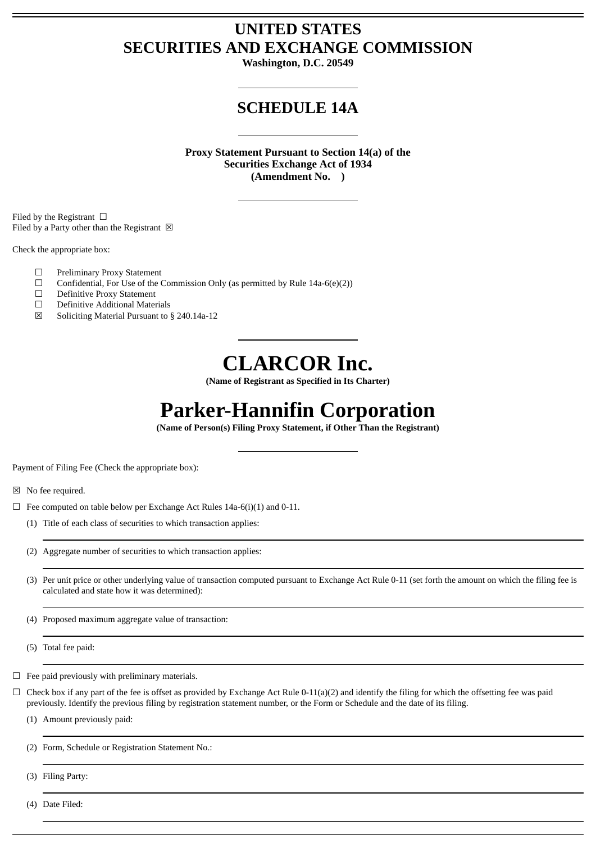## **UNITED STATES SECURITIES AND EXCHANGE COMMISSION**

**Washington, D.C. 20549**

## **SCHEDULE 14A**

**Proxy Statement Pursuant to Section 14(a) of the Securities Exchange Act of 1934 (Amendment No. )**

Filed by the Registrant  $\Box$ Filed by a Party other than the Registrant  $\boxtimes$ 

Check the appropriate box:

- ☐ Preliminary Proxy Statement
- $\Box$  Confidential, For Use of the Commission Only (as permitted by Rule 14a-6(e)(2))
- $\Box$  Definitive Proxy Statement
- ☐ Definitive Additional Materials
- ☒ Soliciting Material Pursuant to § 240.14a-12

# **CLARCOR Inc.**

**(Name of Registrant as Specified in Its Charter)**

# **Parker-Hannifin Corporation**

**(Name of Person(s) Filing Proxy Statement, if Other Than the Registrant)**

Payment of Filing Fee (Check the appropriate box):

- ☒ No fee required.
- $\Box$  Fee computed on table below per Exchange Act Rules 14a-6(i)(1) and 0-11.
	- (1) Title of each class of securities to which transaction applies:
	- (2) Aggregate number of securities to which transaction applies:
	- (3) Per unit price or other underlying value of transaction computed pursuant to Exchange Act Rule 0-11 (set forth the amount on which the filing fee is calculated and state how it was determined):
	- (4) Proposed maximum aggregate value of transaction:

(5) Total fee paid:

 $\Box$  Fee paid previously with preliminary materials.

 $\Box$  Check box if any part of the fee is offset as provided by Exchange Act Rule 0-11(a)(2) and identify the filing for which the offsetting fee was paid previously. Identify the previous filing by registration statement number, or the Form or Schedule and the date of its filing.

(1) Amount previously paid:

(2) Form, Schedule or Registration Statement No.:

- (3) Filing Party:
- (4) Date Filed: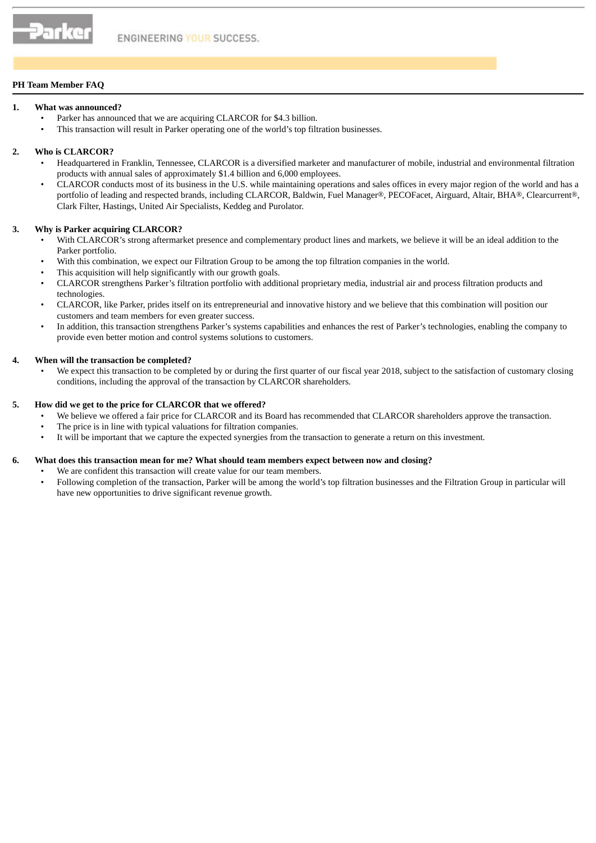### **PH Team Member FAQ**

#### **1. What was announced?**

- Parker has announced that we are acquiring CLARCOR for \$4.3 billion.
- This transaction will result in Parker operating one of the world's top filtration businesses.

#### **2. Who is CLARCOR?**

- Headquartered in Franklin, Tennessee, CLARCOR is a diversified marketer and manufacturer of mobile, industrial and environmental filtration products with annual sales of approximately \$1.4 billion and 6,000 employees.
- CLARCOR conducts most of its business in the U.S. while maintaining operations and sales offices in every major region of the world and has a portfolio of leading and respected brands, including CLARCOR, Baldwin, Fuel Manager®, PECOFacet, Airguard, Altair, BHA®, Clearcurrent®, Clark Filter, Hastings, United Air Specialists, Keddeg and Purolator.

### **3. Why is Parker acquiring CLARCOR?**

- With CLARCOR's strong aftermarket presence and complementary product lines and markets, we believe it will be an ideal addition to the Parker portfolio.
- With this combination, we expect our Filtration Group to be among the top filtration companies in the world.
- This acquisition will help significantly with our growth goals.
- CLARCOR strengthens Parker's filtration portfolio with additional proprietary media, industrial air and process filtration products and technologies.
- CLARCOR, like Parker, prides itself on its entrepreneurial and innovative history and we believe that this combination will position our customers and team members for even greater success.
- In addition, this transaction strengthens Parker's systems capabilities and enhances the rest of Parker's technologies, enabling the company to provide even better motion and control systems solutions to customers.

### **4. When will the transaction be completed?**

• We expect this transaction to be completed by or during the first quarter of our fiscal year 2018, subject to the satisfaction of customary closing conditions, including the approval of the transaction by CLARCOR shareholders.

### **5. How did we get to the price for CLARCOR that we offered?**

- We believe we offered a fair price for CLARCOR and its Board has recommended that CLARCOR shareholders approve the transaction.
- The price is in line with typical valuations for filtration companies.
- It will be important that we capture the expected synergies from the transaction to generate a return on this investment.

#### **6. What does this transaction mean for me? What should team members expect between now and closing?**

- We are confident this transaction will create value for our team members.
- Following completion of the transaction, Parker will be among the world's top filtration businesses and the Filtration Group in particular will have new opportunities to drive significant revenue growth.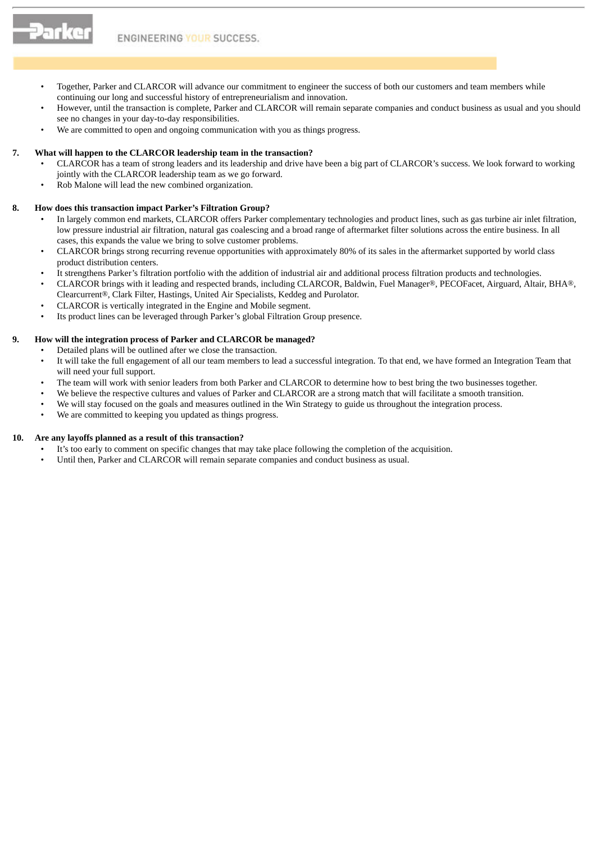- Together, Parker and CLARCOR will advance our commitment to engineer the success of both our customers and team members while continuing our long and successful history of entrepreneurialism and innovation.
- However, until the transaction is complete, Parker and CLARCOR will remain separate companies and conduct business as usual and you should see no changes in your day-to-day responsibilities.
- We are committed to open and ongoing communication with you as things progress.

### **7. What will happen to the CLARCOR leadership team in the transaction?**

- CLARCOR has a team of strong leaders and its leadership and drive have been a big part of CLARCOR's success. We look forward to working jointly with the CLARCOR leadership team as we go forward.
- Rob Malone will lead the new combined organization.

### **8. How does this transaction impact Parker's Filtration Group?**

- In largely common end markets, CLARCOR offers Parker complementary technologies and product lines, such as gas turbine air inlet filtration, low pressure industrial air filtration, natural gas coalescing and a broad range of aftermarket filter solutions across the entire business. In all cases, this expands the value we bring to solve customer problems.
- CLARCOR brings strong recurring revenue opportunities with approximately 80% of its sales in the aftermarket supported by world class product distribution centers.
- It strengthens Parker's filtration portfolio with the addition of industrial air and additional process filtration products and technologies.
- CLARCOR brings with it leading and respected brands, including CLARCOR, Baldwin, Fuel Manager®, PECOFacet, Airguard, Altair, BHA®, Clearcurrent®, Clark Filter, Hastings, United Air Specialists, Keddeg and Purolator.
- CLARCOR is vertically integrated in the Engine and Mobile segment.
- Its product lines can be leveraged through Parker's global Filtration Group presence.

### **9. How will the integration process of Parker and CLARCOR be managed?**

- Detailed plans will be outlined after we close the transaction.
- It will take the full engagement of all our team members to lead a successful integration. To that end, we have formed an Integration Team that will need your full support.
- The team will work with senior leaders from both Parker and CLARCOR to determine how to best bring the two businesses together.
- We believe the respective cultures and values of Parker and CLARCOR are a strong match that will facilitate a smooth transition.
- We will stay focused on the goals and measures outlined in the Win Strategy to guide us throughout the integration process.
- We are committed to keeping you updated as things progress.

#### **10. Are any layoffs planned as a result of this transaction?**

- It's too early to comment on specific changes that may take place following the completion of the acquisition.
- Until then, Parker and CLARCOR will remain separate companies and conduct business as usual.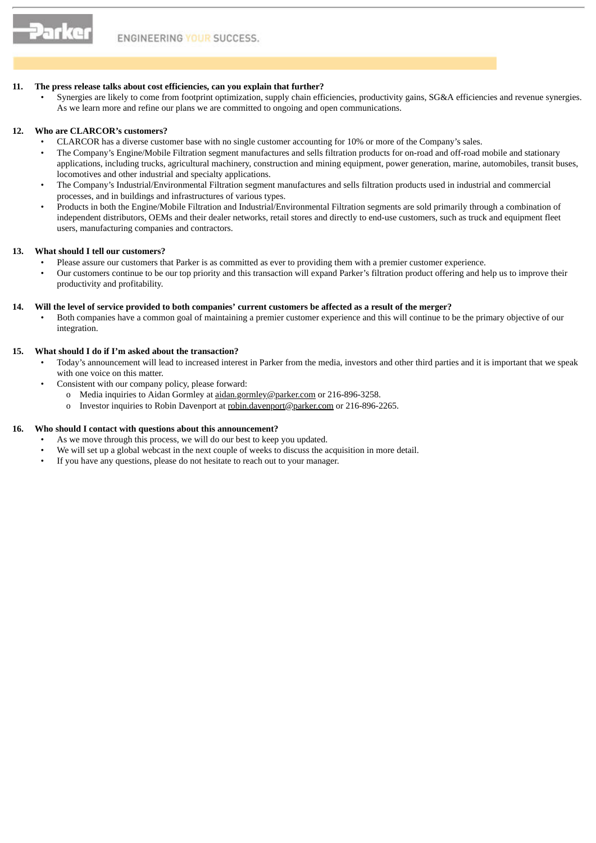## **11. The press release talks about cost efficiencies, can you explain that further?**

• Synergies are likely to come from footprint optimization, supply chain efficiencies, productivity gains, SG&A efficiencies and revenue synergies. As we learn more and refine our plans we are committed to ongoing and open communications.

### **12. Who are CLARCOR's customers?**

- CLARCOR has a diverse customer base with no single customer accounting for 10% or more of the Company's sales.
- The Company's Engine/Mobile Filtration segment manufactures and sells filtration products for on-road and off-road mobile and stationary applications, including trucks, agricultural machinery, construction and mining equipment, power generation, marine, automobiles, transit buses, locomotives and other industrial and specialty applications.
- The Company's Industrial/Environmental Filtration segment manufactures and sells filtration products used in industrial and commercial processes, and in buildings and infrastructures of various types.
- Products in both the Engine/Mobile Filtration and Industrial/Environmental Filtration segments are sold primarily through a combination of independent distributors, OEMs and their dealer networks, retail stores and directly to end-use customers, such as truck and equipment fleet users, manufacturing companies and contractors.

### **13. What should I tell our customers?**

- Please assure our customers that Parker is as committed as ever to providing them with a premier customer experience.
- Our customers continue to be our top priority and this transaction will expand Parker's filtration product offering and help us to improve their productivity and profitability.

### 14. Will the level of service provided to both companies' current customers be affected as a result of the merger?

• Both companies have a common goal of maintaining a premier customer experience and this will continue to be the primary objective of our integration.

### **15. What should I do if I'm asked about the transaction?**

- Today's announcement will lead to increased interest in Parker from the media, investors and other third parties and it is important that we speak with one voice on this matter.
	- Consistent with our company policy, please forward:
		- o Media inquiries to Aidan Gormley at aidan.gormley@parker.com or 216-896-3258.
		- o Investor inquiries to Robin Davenport at robin.davenport@parker.com or 216-896-2265.

#### **16. Who should I contact with questions about this announcement?**

- As we move through this process, we will do our best to keep you updated.
- We will set up a global webcast in the next couple of weeks to discuss the acquisition in more detail.
- If you have any questions, please do not hesitate to reach out to your manager.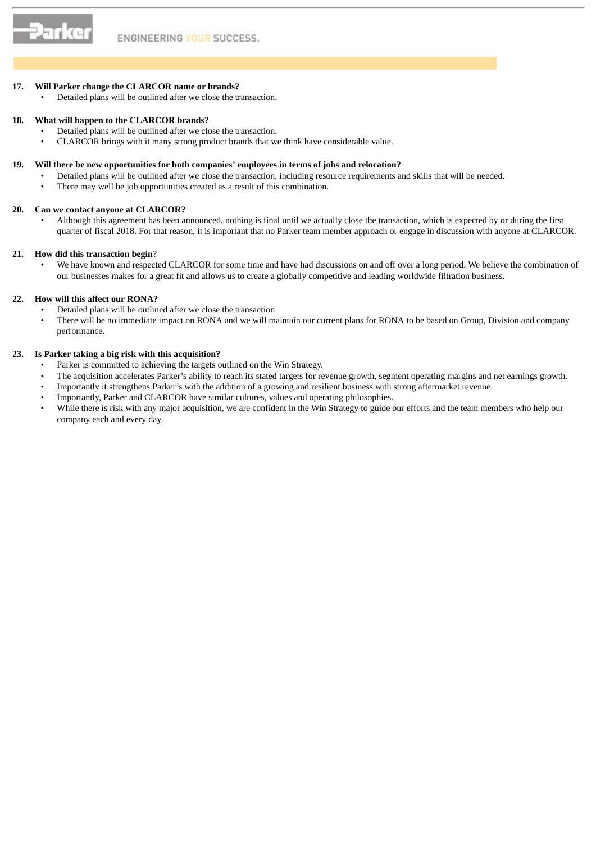#### **17. Will Parker change the CLARCOR name or brands?**

• Detailed plans will be outlined after we close the transaction.

#### **18. What will happen to the CLARCOR brands?**

- Detailed plans will be outlined after we close the transaction.
- CLARCOR brings with it many strong product brands that we think have considerable value.

#### **19. Will there be new opportunities for both companies' employees in terms of jobs and relocation?**

- Detailed plans will be outlined after we close the transaction, including resource requirements and skills that will be needed.
- There may well be job opportunities created as a result of this combination.

#### **20. Can we contact anyone at CLARCOR?**

• Although this agreement has been announced, nothing is final until we actually close the transaction, which is expected by or during the first quarter of fiscal 2018. For that reason, it is important that no Parker team member approach or engage in discussion with anyone at CLARCOR.

#### **21. How did this transaction begin**?

• We have known and respected CLARCOR for some time and have had discussions on and off over a long period. We believe the combination of our businesses makes for a great fit and allows us to create a globally competitive and leading worldwide filtration business.

#### **22. How will this affect our RONA?**

- Detailed plans will be outlined after we close the transaction
- There will be no immediate impact on RONA and we will maintain our current plans for RONA to be based on Group, Division and company performance.

#### **23. Is Parker taking a big risk with this acquisition?**

- Parker is committed to achieving the targets outlined on the Win Strategy.
- The acquisition accelerates Parker's ability to reach its stated targets for revenue growth, segment operating margins and net earnings growth.
- Importantly it strengthens Parker's with the addition of a growing and resilient business with strong aftermarket revenue.
- Importantly, Parker and CLARCOR have similar cultures, values and operating philosophies.
- While there is risk with any major acquisition, we are confident in the Win Strategy to guide our efforts and the team members who help our company each and every day.